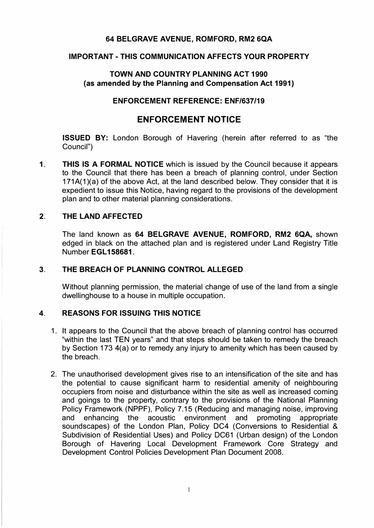#### **64 BELGRAVE AVENUE, ROMFORD, RM2 6QA**

#### **IMPORTANT· THIS COMMUNICATION AFFECTS YOUR PROPERTY**

#### **TOWN AND COUNTRY PLANNING ACT 1990 (as amended by the Planning and Compensation Act 1991)**

### **ENFORCEMENT REFERENCE: ENF/637/19**

## **ENFORCEMENT NOTICE**

**ISSUED BY:** London Borough of Havering (herein after referred to as "the Council")

**1. THIS IS A FORMAL NOTICE** which is issued by the Council because it appears to the Council that there has been a breach of planning control, under Section  $171A(1)(a)$  of the above Act, at the land described below. They consider that it is expedient to issue this Notice, having regard to the provisions of the development plan and to other material planning considerations.

#### **2. THE LAND AFFECTED**

The land known as **64 BELGRAVE AVENUE, ROMFORD, RM2 6QA,** shown edged in black on the attached plan and is registered under Land Registry Title Number **EGL 158681.**

#### **3. THE BREACH OF PLANNING CONTROL ALLEGED**

Without planning permission, the material change of use of the land from a single dwellinghouse to a house in multiple occupation.

#### **4. REASONS FOR ISSUING THIS NOTICE**

- 1. It appears to the Council that the above breach of planning control has occurred "within the last TEN years" and that steps should be taken to remedy the breach by Section 173 4(a) or to remedy any injury to amenity which has been caused by the breach.
- 2. The unauthorised development gives rise to an intensification of the site and has the potential to cause significant harm to residential amenity of neighbouring occupiers from noise and disturbance within the site as well as increased coming and goings to the property, contrary to the provisions of the National Planning Policy Framework (NPPF), Policy 7.15 (Reducing and managing noise, improving and enhancing the acoustic environment and promoting appropriate soundscapes) of the London Plan, Policy DC4 (Conversions to Residential & Subdivision of Residential Uses) and Policy DC61 (Urban design) of the London Borough of Havering Local Development Framework Core Strategy and Development Control Policies Development Plan Document 2008.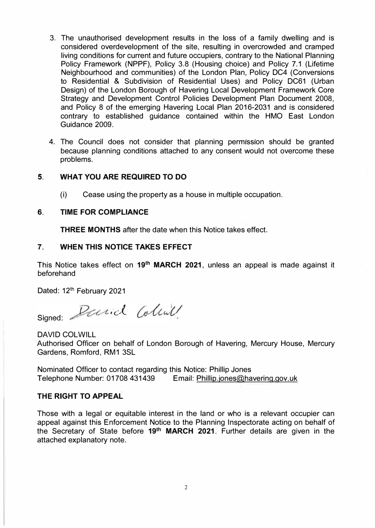- 3. The unauthorised development results in the loss of a family dwelling and is considered overdevelopment of the site, resulting in overcrowded and cramped living conditions for current and future occupiers, contrary to the National Planning Policy Framework (NPPF), Policy 3.8 (Housing choice) and Policy 7.1 (Lifetime Neighbourhood and communities) of the London Plan, Policy DC4 (Conversions to Residential & Subdivision of Residential Uses) and Policy DC61 (Urban Design) of the London Borough of Havering Local Development Framework Core Strategy and Development Control Policies Development Plan Document 2008, and Policy 8 of the emerging Havering Local Plan 2016-2031 and is considered contrary to established guidance contained within the HMO East London Guidance 2009.
- 4. The Council does not consider that planning permission should be granted because planning conditions attached to any consent would not overcome these problems.

#### **5. WHAT YOU ARE REQUIRED TO DO**

(i) Cease using the property as a house in multiple occupation.

#### **6. TIME FOR COMPLIANCE**

**THREE MONTHS** after the date when this Notice takes effect.

#### **7. WHEN THIS NOTICE TAKES EFFECT**

This Notice takes effect on 19<sup>th</sup> MARCH 2021, unless an appeal is made against it beforehand

Dated: 12<sup>th</sup> February 2021

Signed: Parid Colina

DAVID COLWILL Authorised Officer on behalf of London Borough of Havering, Mercury House, Mercury Gardens, Romford, RM1 3SL

Nominated Officer to contact regarding this Notice: Phillip Jones Telephone Number: 01708 431439 Email: Phillip.jones@havering.gov.uk

#### **THE RIGHT TO APPEAL**

Those with a legal or equitable interest in the land or who is a relevant occupier can appeal against this Enforcement Notice to the Planning Inspectorate acting on behalf of **19th** the Secretary of State before **MARCH 2021.** Further details are given in the attached explanatory note.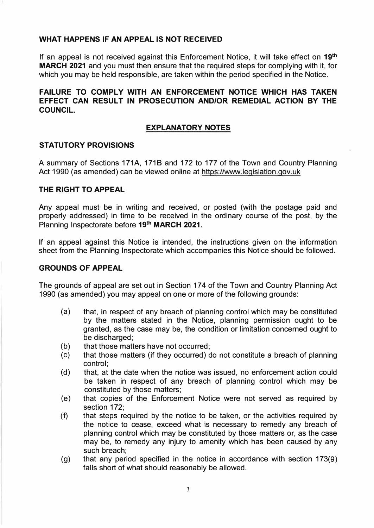#### **WHAT HAPPENS IF AN APPEAL IS NOT RECEIVED**

If an appeal is not received against this Enforcement Notice, it will take effect on **19th MARCH 2021** and you must then ensure that the required steps for complying with it, for which you may be held responsible, are taken within the period specified in the Notice.

#### **FAILURE TO COMPLY WITH AN ENFORCEMENT NOTICE WHICH HAS TAKEN EFFECT CAN RESULT IN PROSECUTION AND/OR REMEDIAL ACTION BY THE COUNCIL.**

#### **EXPLANATORY NOTES**

#### **STATUTORY PROVISIONS**

A summary of Sections 171A, 1718 and 172 to 177 of the Town and Country Planning Act 1990 (as amended) can be viewed online at <https://www.legislation.gov.uk>

#### **THE RIGHT TO APPEAL**

Any appeal must be in writing and received, or posted (with the postage paid and properly addressed) in time to be received in the ordinary course of the post, by the Planning Inspectorate before **19th MARCH 2021.** 

If an appeal against this Notice is intended, the instructions given on the information sheet from the Planning Inspectorate which accompanies this Notice should be followed.

#### **GROUNDS OF APPEAL**

The grounds of appeal are set out in Section 174 of the Town and Country Planning Act 1990 (as amended) you may appeal on one or more of the following grounds:

- (a) that, in respect of any breach of planning control which may be constituted by the matters stated in the Notice, planning permission ought to be granted, as the case may be, the condition or limitation concerned ought to be discharged;
- (b) that those matters have not occurred;
- (c) that those matters (if they occurred) do not constitute a breach of planning control;
- (d) that, at the date when the notice was issued, no enforcement action could be taken in respect of any breach of planning control which may be constituted by those matters;
- (e) that copies of the Enforcement Notice were not served as required by section 172;
- (f) that steps required by the notice to be taken, or the activities required by the notice to cease, exceed what is necessary to remedy any breach of planning control which may be constituted by those matters or, as the case may be, to remedy any injury to amenity which has been caused by any such breach;
- (g) that any period specified in the notice in accordance with section 173(9) falls short of what should reasonably be allowed.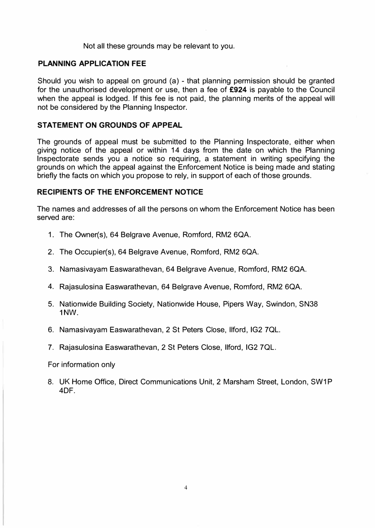Not all these grounds may be relevant to you.

#### **PLANNING APPLICATION FEE**

Should you wish to appeal on ground (a) - that planning permission should be granted for the unauthorised development or use, then a fee of **£924** is payable to the Council when the appeal is lodged. If this fee is not paid, the planning merits of the appeal will not be considered by the Planning Inspector.

#### **STATEMENT ON GROUNDS OF APPEAL**

The grounds of appeal must be submitted to the Planning Inspectorate, either when giving notice of the appeal or within 14 days from the date on which the Planning Inspectorate sends you a notice so requiring, a statement in writing specifying the grounds on which the appeal against the Enforcement Notice is being made and stating briefly the facts on which you propose to rely, in support of each of those grounds.

#### **RECIPIENTS OF THE ENFORCEMENT NOTICE**

The names and addresses of all the persons on whom the Enforcement Notice has been served are:

- 1. The Owner(s), 64 Belgrave Avenue, Romford, RM2 6QA.
- 2. The Occupier(s), 64 Belgrave Avenue, Romford, RM2 6QA.
- 3. Namasivayam Easwarathevan, 64 Belgrave Avenue, Romford, RM2 6QA.
- 4. Rajasulosina Easwarathevan, 64 Belgrave Avenue, Romford, RM2 6QA.
- 5. Nationwide Building Society, Nationwide House, Pipers Way, Swindon, SN38 **1NW.**
- 6. Namasivayam Easwarathevan, 2 St Peters Close, llford, IG2 7QL.
- 7. Rajasulosina Easwarathevan, 2 St Peters Close, llford, IG2 7QL.

For information only

8. UK Home Office, Direct Communications Unit, 2 Marsham Street, London, SW1P 4DF.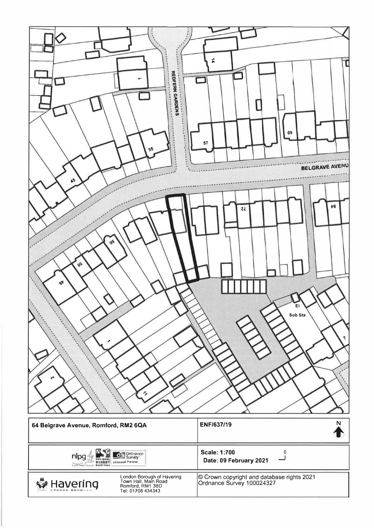